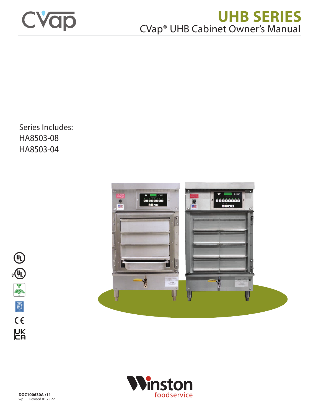

# **UHB SERIES** CVap® UHB Cabinet Owner's Manual

Series Includes: HA8503-08 HA8503-04





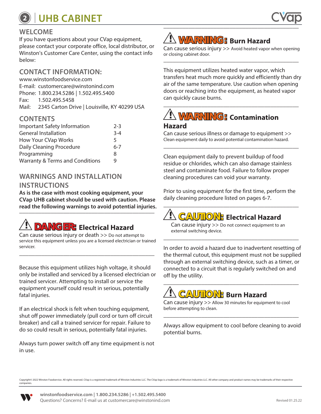### **WELCOME**

If you have questions about your CVap equipment, please contact your corporate office, local distributor, or Winston's Customer Care Center, using the contact info below:

### **CONTACT INFORMATION:**

[www.winstonfoodservice.com](https://www.winstonfoodservice.com/support/technical-support/) E-mail: [customercare@winstonind.com](mailto:customercare%40winstonind.com?subject=Message%20from%20UHB%20Owner%27s%20Manual) Phone: 1.800.234.5286 | 1.502.495.5400 Fax: 1.502.495.5458 Mail: 2345 Carton Drive | Louisville, KY 40299 USA

### **CONTENTS**

| Important Safety Information               | $2-3$   |
|--------------------------------------------|---------|
| <b>General Installation</b>                | $3 - 4$ |
| How Your CVap Works                        | 5       |
| Daily Cleaning Procedure                   | $6 - 7$ |
| Programming                                | 8       |
| <b>Warranty &amp; Terms and Conditions</b> | g       |

### **WARNINGS AND INSTALLATION INSTRUCTIONS**

**As is the case with most cooking equipment, your CVap UHB cabinet should be used with caution. Please**  read the following warnings to avoid potential injuries.

# **! DANGER: Electrical Hazard**

Can cause serious injury or death >> Do not attempt to service this equipment unless you are a licensed electrician or trained servicer.

\_\_\_\_\_\_\_\_\_\_\_\_\_\_\_\_\_\_\_\_\_\_\_\_\_\_\_\_\_\_\_\_\_\_\_\_\_\_\_\_\_\_\_

Because this equipment utilizes high voltage, it should only be installed and serviced by a licensed electrician or trained servicer. Attempting to install or service the equipment yourself could result in serious, potentially fatal injuries.

If an electrical shock is felt when touching equipment, shut off power immediately (pull cord or turn off circuit breaker) and call a trained servicer for repair. Failure to do so could result in serious, potentially fatal injuries.

Always turn power switch off any time equipment is not in use.



Can cause serious injury >> Avoid heated vapor when opening or closing cabinet door. \_\_\_\_\_\_\_\_\_\_\_\_\_\_\_\_\_\_\_\_\_\_\_\_\_\_\_\_\_\_\_\_\_\_\_\_\_\_\_\_\_\_\_

This equipment utilizes heated water vapor, which transfers heat much more quickly and efficiently than dry air of the same temperature. Use caution when opening doors or reaching into the equipment, as heated vapor can quickly cause burns.

## \_\_\_\_\_\_\_\_\_\_\_\_\_\_\_\_\_\_\_\_\_\_\_\_\_\_\_\_\_\_\_\_\_\_\_\_\_\_\_\_\_\_\_ **! WARNING: Contamination**

### **Hazard**

Can cause serious illness or damage to equipment >> Clean equipment daily to avoid potential contamination hazard. \_\_\_\_\_\_\_\_\_\_\_\_\_\_\_\_\_\_\_\_\_\_\_\_\_\_\_\_\_\_\_\_\_\_\_\_\_\_\_\_\_\_\_

Clean equipment daily to prevent buildup of food residue or chlorides, which can also damage stainless steel and contaminate food. Failure to follow proper cleaning procedures can void your warranty.

Prior to using equipment for the first time, perform the daily cleaning procedure listed on pages 6-7. \_\_\_\_\_\_\_\_\_\_\_\_\_\_\_\_\_\_\_\_\_\_\_\_\_\_\_\_\_\_\_\_\_\_\_\_\_\_\_\_\_\_\_

## **! CAUTION: Electrical Hazard**

Can cause injury >> Do not connect equipment to an external switching device.

\_\_\_\_\_\_\_\_\_\_\_\_\_\_\_\_\_\_\_\_\_\_\_\_\_\_\_\_\_\_\_\_\_\_\_\_\_\_\_\_\_\_\_

In order to avoid a hazard due to inadvertent resetting of the thermal cutout, this equipment must not be supplied through an external switching device, such as a timer, or connected to a circuit that is regularly switched on and off by the utility. \_\_\_\_\_\_\_\_\_\_\_\_\_\_\_\_\_\_\_\_\_\_\_\_\_\_\_\_\_\_\_\_\_\_\_\_\_\_\_\_\_\_\_

# **! CAUTION: Burn Hazard**

Can cause injury >> Allow 30 minutes for equipment to cool before attempting to clean. \_\_\_\_\_\_\_\_\_\_\_\_\_\_\_\_\_\_\_\_\_\_\_\_\_\_\_\_\_\_\_\_\_\_\_\_\_\_\_\_\_\_\_

Always allow equipment to cool before cleaning to avoid potential burns.

Copyright© 2022 Winston Foodservice. All rights reserved. CVap is a registered trademark of Winston Industries LLC. The CVap logo is a trademark of Winston Industries LLC. All other company and product names may be tradema companies.

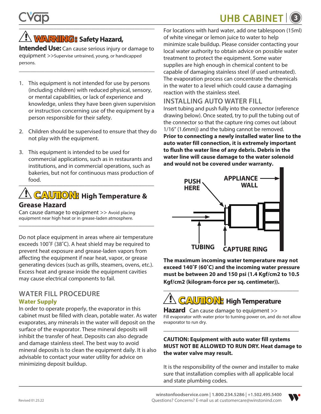## **! WARNING: Safety Hazard,**

**Intended Use:** Can cause serious injury or damage to equipment >>Supervise untrained, young, or handicapped persons.

\_\_\_\_\_\_\_\_\_\_\_\_\_\_\_\_\_\_\_\_\_\_\_\_\_\_\_\_\_\_\_\_\_\_\_\_\_\_\_\_\_\_\_\_\_\_\_

- 1. This equipment is not intended for use by persons (including children) with reduced physical, sensory, or mental capabilities, or lack of experience and knowledge, unless they have been given supervision or instruction concerning use of the equipment by a person responsible for their safety.
- 2. Children should be supervised to ensure that they do not play with the equipment.
- $\overline{\phantom{a}}$ 3. This equipment is intended to be used for commercial applications, such as in restaurants and institutions, and in commercial operations, such as bakeries, but not for continuous mass production of food.

### **! CAUTION: High Temperature & Grease Hazard**

Can cause damage to equipment >> Avoid placing equipment near high heat or in grease-laden atmosphere. \_\_\_\_\_\_\_\_\_\_\_\_\_\_\_\_\_\_\_\_\_\_\_\_\_\_\_\_\_\_\_\_\_\_\_\_\_\_\_\_\_\_\_

Do not place equipment in areas where air temperature exceeds 100˚F (38˚C). A heat shield may be required to prevent heat exposure and grease-laden vapors from affecting the equipment if near heat, vapor, or grease generating devices (such as grills, steamers, ovens, etc.). Excess heat and grease inside the equipment cavities may cause electrical components to fail.

## **WATER FILL PROCEDURE**

### **Water Supply**

In order to operate properly, the evaporator in this cabinet must be filled with clean, potable water. As water evaporates, any minerals in the water will deposit on the surface of the evaporator. These mineral deposits will inhibit the transfer of heat. Deposits can also degrade and damage stainless steel. The best way to avoid mineral deposits is to clean the equipment daily. It is also advisable to contact your water utility for advice on minimizing deposit buildup.

For locations with hard water, add one tablespoon (15ml) of white vinegar or lemon juice to water to help minimize scale buildup. Please consider contacting your local water authority to obtain advice on possible water treatment to protect the equipment. Some water supplies are high enough in chemical content to be capable of damaging stainless steel (if used untreated). The evaporation process can concentrate the chemicals in the water to a level which could cause a damaging reaction with the stainless steel.

### **INSTALLING AUTO WATER FILL**

Insert tubing and push fully into the connector (reference drawing below). Once seated, try to pull the tubing out of the connector so that the capture ring comes out (about 1/16" (1.6mm)) and the tubing cannot be removed.

**Prior to connecting a newly installed water line to the auto water fill connection, it is extremely important to flush the water line of any debris. Debris in the water line will cause damage to the water solenoid and would not be covered under warranty.**



**The maximum incoming water temperature may not exceed 140˚F (60˚C) and the incoming water pressure must be between 20 and 150 psi (1.4 Kgf/cm2 to 10.5 Kgf/cm2 (kilogram-force per sq. centimeter)).** \_\_\_\_\_\_\_\_\_\_\_\_\_\_\_\_\_\_\_\_\_\_\_\_\_\_\_\_\_\_\_\_\_\_\_\_\_\_\_\_\_\_\_

# **! CAUTION: High Temperature**

**Hazard** Can cause damage to equipment >> Fill evaporator with water prior to turning power on, and do not allow evaporator to run dry.

\_\_\_\_\_\_\_\_\_\_\_\_\_\_\_\_\_\_\_\_\_\_\_\_\_\_\_\_\_\_\_\_\_\_\_\_\_\_\_\_\_\_\_

### **CAUTION: Equipment with auto water fill systems MUST NOT BE ALLOWED TO RUN DRY. Heat damage to the water valve may result.**

It is the responsibility of the owner and installer to make sure that installation complies with all applicable local and state plumbing codes.

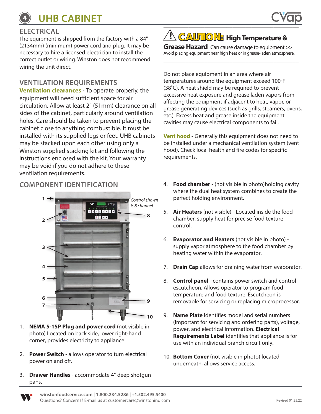### **ELECTRICAL**

The equipment is shipped from the factory with a 84" (2134mm) (minimum) power cord and plug. It may be necessary to hire a licensed electrician to install the correct outlet or wiring. Winston does not recommend wiring the unit direct.

### **VENTILATION REQUIREMENTS**

**Ventilation clearances** - To operate properly, the equipment will need sufficient space for air circulation. Allow at least 2" (51mm) clearance on all sides of the cabinet, particularly around ventilation holes. Care should be taken to prevent placing the cabinet close to anything combustible. It must be installed with its supplied legs or feet. UHB cabinets may be stacked upon each other using only a Winston supplied stacking kit and following the instructions enclosed with the kit. Your warranty may be void if you do not adhere to these ventilation requirements.



- 1. **NEMA 5-15P Plug and power cord** (not visible in photo) Located on back side, lower right-hand corner, provides electricity to appliance.
- 2. **Power Switch** allows operator to turn electrical power on and off.
- 3. **Drawer Handles** accommodate 4" deep shotgun pans.

### \_\_\_\_\_\_\_\_\_\_\_\_\_\_\_\_\_\_\_\_\_\_\_\_\_\_\_\_\_\_\_\_\_\_\_\_\_\_\_\_\_\_\_ **! CAUTION: High Temperature &**

**Grease Hazard** Can cause damage to equipment >> Avoid placing equipment near high heat or in grease-laden atmosphere. \_\_\_\_\_\_\_\_\_\_\_\_\_\_\_\_\_\_\_\_\_\_\_\_\_\_\_\_\_\_\_\_\_\_\_\_\_\_\_\_\_\_\_

Do not place equipment in an area where air temperatures around the equipment exceed 100°F (38**˚**C). A heat shield may be required to prevent excessive heat exposure and grease laden vapors from affecting the equipment if adjacent to heat, vapor, or grease generating devices (such as grills, steamers, ovens, etc.). Excess heat and grease inside the equipment cavities may cause electrical components to fail.

**Vent hood** - Generally this equipment does not need to be installed under a mechanical ventilation system (vent hood). Check local health and fire codes for specific requirements.

- **COMPONENT IDENTIFICATION** 4. **Food chamber**  (not visible in photo)holding cavity where the dual heat system combines to create the perfect holding environment.
	- 5. **Air Heaters** (not visible) Located inside the food chamber, supply heat for precise food texture control.
	- 6. **Evaporator and Heaters** (not visible in photo) supply vapor atmosphere to the food chamber by heating water within the evaporator.
	- 7. **Drain Cap** allows for draining water from evaporator.
	- 8. **Control panel** contains power switch and control escutcheon. Allows operator to program food temperature and food texture. Escutcheon is removable for servicing or replacing microprocessor.
	- 9. **Name Plate** identifies model and serial numbers (important for servicing and ordering parts), voltage, power, and electrical information. **Electrical Requirements Label** identifies that appliance is for use with an individual branch circuit only.
	- 10. **Bottom Cover** (not visible in photo) located underneath, allows service access.

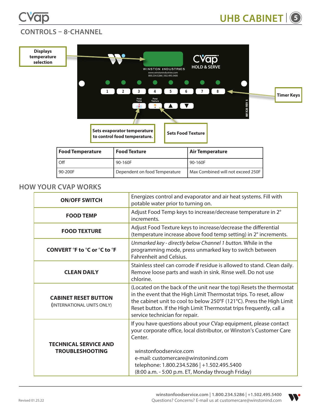



### **CONTROLS – 8-CHANNEL**



| Food Temperature | <b>Food Texture</b>           | Air Temperature                   |
|------------------|-------------------------------|-----------------------------------|
| Off              | 90-160F                       | 90-160F                           |
| 90-200F          | Dependent on food Temperature | Max Combined will not exceed 250F |

### **HOW YOUR CVAP WORKS**

| <b>ON/OFF SWITCH</b>                                      | Energizes control and evaporator and air heat systems. Fill with<br>potable water prior to turning on.                                                                                                                                                                                                                       |
|-----------------------------------------------------------|------------------------------------------------------------------------------------------------------------------------------------------------------------------------------------------------------------------------------------------------------------------------------------------------------------------------------|
| <b>FOOD TEMP</b>                                          | Adjust Food Temp keys to increase/decrease temperature in 2°<br>increments.                                                                                                                                                                                                                                                  |
| <b>FOOD TEXTURE</b>                                       | Adjust Food Texture keys to increase/decrease the differential<br>(temperature increase above food temp setting) in 2° increments.                                                                                                                                                                                           |
| CONVERT °F to °C or °C to °F                              | Unmarked key - directly below Channel 1 button. While in the<br>programming mode, press unmarked key to switch between<br>Fahrenheit and Celsius.                                                                                                                                                                            |
| <b>CLEAN DAILY</b>                                        | Stainless steel can corrode if residue is allowed to stand. Clean daily.<br>Remove loose parts and wash in sink. Rinse well. Do not use<br>chlorine.                                                                                                                                                                         |
| <b>CABINET RESET BUTTON</b><br>(INTERNATIONAL UNITS ONLY) | (Located on the back of the unit near the top) Resets the thermostat<br>in the event that the High Limit Thermostat trips. To reset, allow<br>the cabinet unit to cool to below 250°F (121°C). Press the High Limit<br>Reset button. If the High Limit Thermostat trips frequently, call a<br>service technician for repair. |
| <b>TECHNICAL SERVICE AND</b><br><b>TROUBLESHOOTING</b>    | If you have questions about your CVap equipment, please contact<br>your corporate office, local distributor, or Winston's Customer Care<br>Center.<br>winstonfoodservice.com<br>e-mail: customercare@winstonind.com<br>telephone: 1.800.234.5286   +1.502.495.5400<br>(8:00 a.m. - 5:00 p.m. ET, Monday through Friday)      |

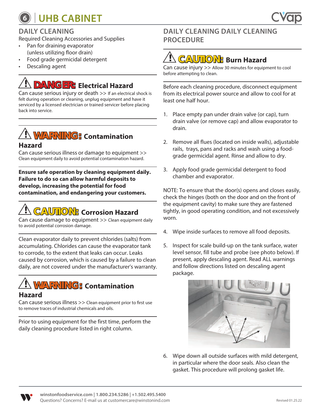

### **DAILY CLEANING**

Required Cleaning Accessories and Supplies

- Pan for draining evaporator (unless utilizing floor drain)
- Food grade germicidal detergent
- Descaling agent

# **! DANGER: Electrical Hazard**

Can cause serious injury or death >> If an electrical shock is felt during operation or cleaning, unplug equipment and have it serviced by a licensed electrician or trained servicer before placing back into service.

### **! WARNING: Contamination Hazard**

Can cause serious illness or damage to equipment >> Clean equipment daily to avoid potential contamination hazard.

**Ensure safe operation by cleaning equipment daily. Failure to do so can allow harmful deposits to develop, increasing the potential for food contamination, and endangering your customers.**

## **! CAUTION: Corrosion Hazard**

Can cause damage to equipment >> Clean equipment daily to avoid potential corrosion damage.

Clean evaporator daily to prevent chlorides (salts) from accumulating. Chlorides can cause the evaporator tank to corrode, to the extent that leaks can occur. Leaks caused by corrosion, which is caused by a failure to clean daily, are not covered under the manufacturer's warranty.

# **! WARNING: Contamination**

### **Hazard**

Can cause serious illness >> Clean equipment prior to first use to remove traces of industrial chemicals and oils.

Prior to using equipment for the first time, perform the daily cleaning procedure listed in right column.

### **DAILY CLEANING DAILY CLEANING PROCEDURE**

# **! CAUTION: Burn Hazard**

Can cause injury >> Allow 30 minutes for equipment to cool before attempting to clean.

Before each cleaning procedure, disconnect equipment from its electrical power source and allow to cool for at least one half hour.

- 1. Place empty pan under drain valve (or cap), turn drain valve (or remove cap) and allow evaporator to drain.
- 2. Remove all flues (located on inside walls), adjustable rails, trays, pans and racks and wash using a foodgrade germicidal agent. Rinse and allow to dry.
- 3. Apply food grade germicidal detergent to food chamber and evaporator.

NOTE: To ensure that the door(s) opens and closes easily, check the hinges (both on the door and on the front of the equipment cavity) to make sure they are fastened tightly, in good operating condition, and not excessively worn.

- 4. Wipe inside surfaces to remove all food deposits.
- 5. Inspect for scale build-up on the tank surface, water level sensor, fill tube and probe (see photo below). If present, apply descaling agent. Read ALL warnings and follow directions listed on descaling agent package.



6. Wipe down all outside surfaces with mild detergent, in particular where the door seals. Also clean the gasket. This procedure will prolong gasket life.

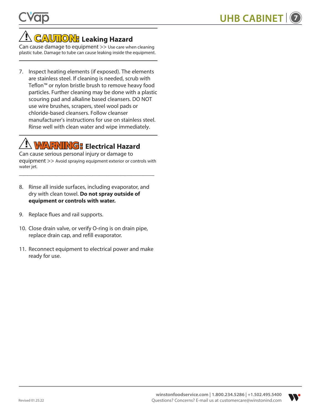## **! CAUTION: Leaking Hazard**

Can cause damage to equipment >> Use care when cleaning plastic tube. Damage to tube can cause leaking inside the equipment.

7. Inspect heating elements (if exposed). The elements are stainless steel. If cleaning is needed, scrub with Teflon™ or nylon bristle brush to remove heavy food particles. Further cleaning may be done with a plastic scouring pad and alkaline based cleansers. DO NOT use wire brushes, scrapers, steel wool pads or chloride-based cleansers. Follow cleanser manufacturer's instructions for use on stainless steel. Rinse well with clean water and wipe immediately.

# **! WARNING: Electrical Hazard**

Can cause serious personal injury or damage to equipment >> Avoid spraying equipment exterior or controls with water jet.

\_\_\_\_\_\_\_\_\_\_\_\_\_\_\_\_\_\_\_\_\_\_\_\_\_\_\_\_\_\_\_\_\_\_\_\_\_\_\_\_\_\_\_

- 8. Rinse all inside surfaces, including evaporator, and dry with clean towel. **Do not spray outside of equipment or controls with water.**
- 9. Replace flues and rail supports.
- 10. Close drain valve, or verify O-ring is on drain pipe, replace drain cap, and refill evaporator.
- 11. Reconnect equipment to electrical power and make ready for use.

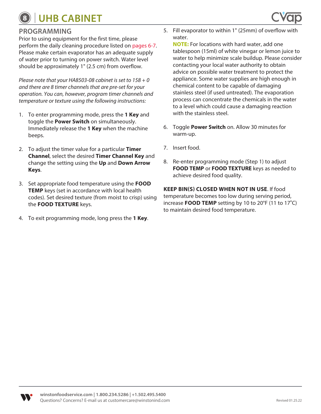

Prior to using equipment for the first time, please perform the daily cleaning procedure listed on pages 6-7. Please make certain evaporator has an adequate supply of water prior to turning on power switch. Water level should be approximately 1" (2.5 cm) from overflow.

*Please note that your HA8503-08 cabinet is set to 158 + 0 and there are 8 timer channels that are pre-set for your operation. You can, however, program timer channels and temperature or texture using the following instructions:*

- 1. To enter programming mode, press the **1 Key** and toggle the **Power Switch** on simultaneously. Immediately release the **1 Key** when the machine beeps.
- 2. To adjust the timer value for a particular **Timer Channel**, select the desired **Timer Channel Key** and change the setting using the **Up** and **Down Arrow Keys**.
- 3. Set appropriate food temperature using the **FOOD TEMP** keys (set in accordance with local health codes). Set desired texture (from moist to crisp) using the **FOOD TEXTURE** keys.
- 4. To exit programming mode, long press the **1 Key**.

5. Fill evaporator to within 1" (25mm) of overflow with water.

**NOTE:** For locations with hard water, add one tablespoon (15ml) of white vinegar or lemon juice to water to help minimize scale buildup. Please consider contacting your local water authority to obtain advice on possible water treatment to protect the appliance. Some water supplies are high enough in chemical content to be capable of damaging stainless steel (if used untreated). The evaporation process can concentrate the chemicals in the water to a level which could cause a damaging reaction with the stainless steel.

- 6. Toggle **Power Switch** on. Allow 30 minutes for warm-up.
- 7. Insert food.
- 8. Re-enter programming mode (Step 1) to adjust **FOOD TEMP** or **FOOD TEXTURE** keys as needed to achieve desired food quality.

**KEEP BIN(S) CLOSED WHEN NOT IN USE**. If food temperature becomes too low during serving period, increase **FOOD TEMP** setting by 10 to 20°F (11 to 17**˚**C) to maintain desired food temperature.